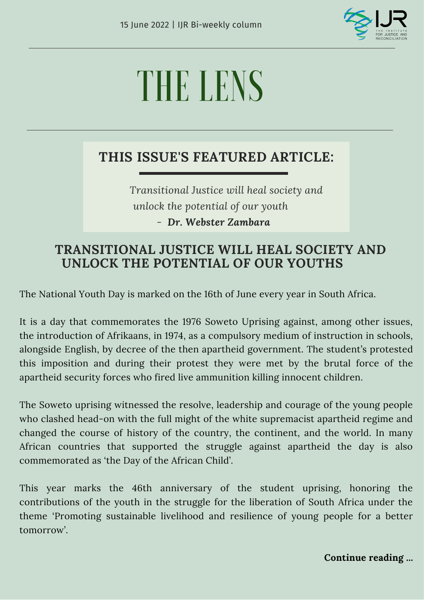

# THE LENS

## **THIS ISSUE'S FEATURED ARTICLE:**

*Transitional Justice will heal society and unlock the potential of our youth - Dr. Webster Zambara*

## **TRANSITIONAL JUSTICE WILL HEAL SOCIETY AND UNLOCK THE POTENTIAL OF OUR YOUTHS**

The National Youth Day is marked on the 16th of June every year in South Africa.

It is a day that commemorates the 1976 Soweto Uprising against, among other issues, the introduction of Afrikaans, in 1974, as a compulsory medium of instruction in schools, alongside English, by decree of the then apartheid government. The student's protested this imposition and during their protest they were met by the brutal force of the apartheid security forces who fired live ammunition killing innocent children.

The Soweto uprising witnessed the resolve, leadership and courage of the young people who clashed head-on with the full might of the white supremacist apartheid regime and changed the course of history of the country, the continent, and the world. In many African countries that supported the struggle against apartheid the day is also commemorated as 'the Day of the African Child'.

This year marks the 46th anniversary of the student uprising, honoring the contributions of the youth in the struggle for the liberation of South Africa under the theme 'Promoting sustainable livelihood and resilience of young people for a better tomorrow'.

**Continue reading ...**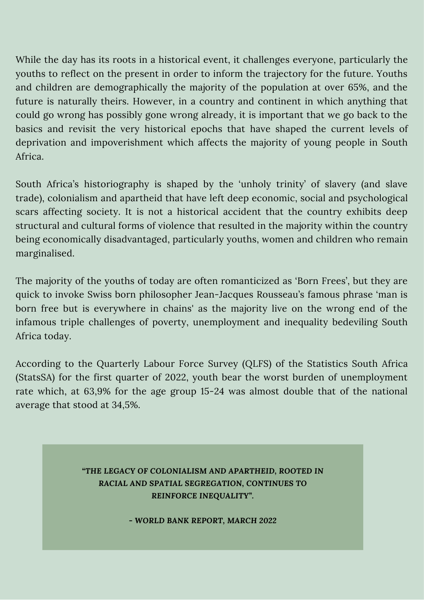While the day has its roots in a historical event, it challenges everyone, particularly the youths to reflect on the present in order to inform the trajectory for the future. Youths and children are demographically the majority of the population at over 65%, and the future is naturally theirs. However, in a country and continent in which anything that could go wrong has possibly gone wrong already, it is important that we go back to the basics and revisit the very historical epochs that have shaped the current levels of deprivation and impoverishment which affects the majority of young people in South Africa.

South Africa's historiography is shaped by the 'unholy trinity' of slavery (and slave trade), colonialism and apartheid that have left deep economic, social and psychological scars affecting society. It is not a historical accident that the country exhibits deep structural and cultural forms of violence that resulted in the majority within the country being economically disadvantaged, particularly youths, women and children who remain marginalised.

The majority of the youths of today are often romanticized as 'Born Frees', but they are quick to invoke Swiss born philosopher Jean-Jacques Rousseau's famous phrase 'man is born free but is everywhere in chains' as the majority live on the wrong end of the infamous triple challenges of poverty, unemployment and inequality bedeviling South Africa today.

According to the Quarterly Labour Force Survey (QLFS) of the Statistics South Africa (StatsSA) for the first quarter of 2022, youth bear the worst burden of unemployment rate which, at 63,9% for the age group 15-24 was almost double that of the national average that stood at 34,5%.

### *"THE LEGACY OF COLONIALISM AND APARTHEID, ROOTED IN RACIAL AND SPATIAL SEGREGATION, CONTINUES TO REINFORCE INEQUALITY".*

*- WORLD BANK REPORT, MARCH 2022*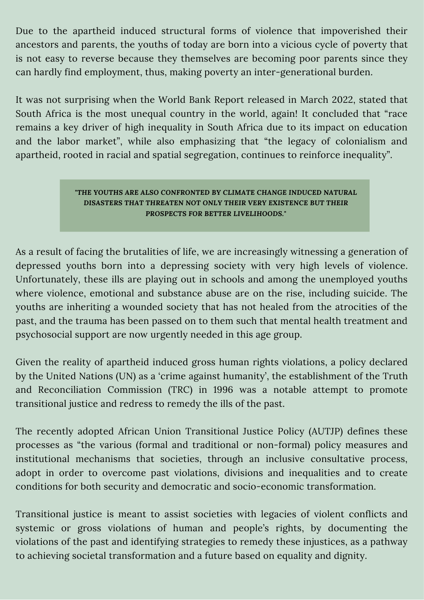Due to the apartheid induced structural forms of violence that impoverished their ancestors and parents, the youths of today are born into a vicious cycle of poverty that is not easy to reverse because they themselves are becoming poor parents since they can hardly find employment, thus, making poverty an inter-generational burden.

It was not surprising when the World Bank Report released in March 2022, stated that South Africa is the most unequal country in the world, again! It concluded that "race remains a key driver of high inequality in South Africa due to its impact on education and the labor market", while also emphasizing that "the legacy of colonialism and apartheid, rooted in racial and spatial segregation, continues to reinforce inequality".

#### *"THE YOUTHS ARE ALSO CONFRONTED BY CLIMATE CHANGE INDUCED NATURAL DISASTERS THAT THREATEN NOT ONLY THEIR VERY EXISTENCE BUT THEIR PROSPECTS FOR BETTER LIVELIHOODS."*

As a result of facing the brutalities of life, we are increasingly witnessing a generation of depressed youths born into a depressing society with very high levels of violence. Unfortunately, these ills are playing out in schools and among the unemployed youths where violence, emotional and substance abuse are on the rise, including suicide. The youths are inheriting a wounded society that has not healed from the atrocities of the past, and the trauma has been passed on to them such that mental health treatment and psychosocial support are now urgently needed in this age group.

Given the reality of apartheid induced gross human rights violations, a policy declared by the United Nations (UN) as a 'crime against humanity', the establishment of the Truth and Reconciliation Commission (TRC) in 1996 was a notable attempt to promote transitional justice and redress to remedy the ills of the past.

The recently adopted African Union Transitional Justice Policy (AUTJP) defines these processes as "the various (formal and traditional or non-formal) policy measures and institutional mechanisms that societies, through an inclusive consultative process, adopt in order to overcome past violations, divisions and inequalities and to create conditions for both security and democratic and socio-economic transformation.

Transitional justice is meant to assist societies with legacies of violent conflicts and systemic or gross violations of human and people's rights, by documenting the violations of the past and identifying strategies to remedy these injustices, as a pathway to achieving societal transformation and a future based on equality and dignity.